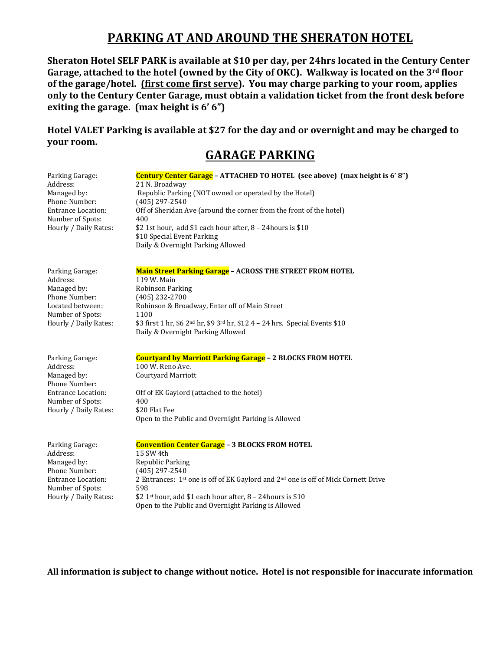# **PARKING AT AND AROUND THE SHERATON HOTEL**

**Sheraton Hotel SELF PARK is available at \$10 per day, per 24hrs located in the Century Center Garage, attached to the hotel (owned by the City of OKC). Walkway is located on the 3rd floor of the garage/hotel. (first come first serve). You may charge parking to your room, applies only to the Century Center Garage, must obtain a validation ticket from the front desk before exiting the garage. (max height is 6' 6")**

**Hotel VALET Parking is available at \$27 for the day and or overnight and may be charged to your room.**

# **GARAGE PARKING**

| Parking Garage:                               | Century Center Garage - ATTACHED TO HOTEL (see above) (max height is 6'8")                                                                |
|-----------------------------------------------|-------------------------------------------------------------------------------------------------------------------------------------------|
| Address:                                      | 21 N. Broadway                                                                                                                            |
| Managed by:                                   | Republic Parking (NOT owned or operated by the Hotel)                                                                                     |
| Phone Number:                                 | $(405)$ 297-2540                                                                                                                          |
| <b>Entrance Location:</b><br>Number of Spots: | Off of Sheridan Ave (around the corner from the front of the hotel)<br>400                                                                |
| Hourly / Daily Rates:                         | \$2 1st hour, add \$1 each hour after, 8 - 24 hours is \$10                                                                               |
|                                               | \$10 Special Event Parking                                                                                                                |
|                                               | Daily & Overnight Parking Allowed                                                                                                         |
| Parking Garage:                               | <b>Main Street Parking Garage - ACROSS THE STREET FROM HOTEL</b>                                                                          |
| Address:                                      | 119 W. Main                                                                                                                               |
| Managed by:                                   | Robinson Parking                                                                                                                          |
| Phone Number:                                 | $(405)$ 232-2700                                                                                                                          |
| Located between:                              | Robinson & Broadway, Enter off of Main Street                                                                                             |
| Number of Spots:                              | 1100                                                                                                                                      |
| Hourly / Daily Rates:                         | \$3 first 1 hr, \$6 2 <sup>nd</sup> hr, \$9 3 <sup>rd</sup> hr, \$12 4 - 24 hrs. Special Events \$10<br>Daily & Overnight Parking Allowed |
|                                               |                                                                                                                                           |
| Parking Garage:                               | Courtyard by Marriott Parking Garage - 2 BLOCKS FROM HOTEL                                                                                |
| Address:<br>Managed by:                       | 100 W. Reno Ave.<br>Courtyard Marriott                                                                                                    |
| Phone Number:                                 |                                                                                                                                           |
| <b>Entrance Location:</b>                     | Off of EK Gaylord (attached to the hotel)                                                                                                 |
| Number of Spots:                              | 400                                                                                                                                       |
| Hourly / Daily Rates:                         | \$20 Flat Fee                                                                                                                             |
|                                               | Open to the Public and Overnight Parking is Allowed                                                                                       |
| Parking Garage:                               | <b>Convention Center Garage - 3 BLOCKS FROM HOTEL</b>                                                                                     |
| Address:                                      | 15 SW 4th                                                                                                                                 |
| Managed by:                                   | Republic Parking                                                                                                                          |
| Phone Number:                                 | $(405)$ 297-2540                                                                                                                          |
| <b>Entrance Location:</b><br>Number of Spots: | 2 Entrances: 1st one is off of EK Gaylord and 2 <sup>nd</sup> one is off of Mick Cornett Drive<br>598                                     |
| Hourly / Daily Rates:                         | \$2 1 <sup>st</sup> hour, add \$1 each hour after, 8 - 24 hours is \$10                                                                   |
|                                               | Open to the Public and Overnight Parking is Allowed                                                                                       |

**All information is subject to change without notice. Hotel is not responsible for inaccurate information**